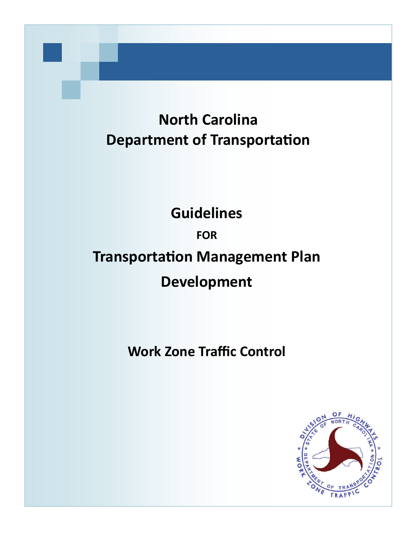# <span id="page-0-0"></span>**North Carolina Department of Transportation**

# **Guidelines**

## **FOR**

# **Transportation Management Plan**

# **Development**

# **Work Zone Traffic Control**

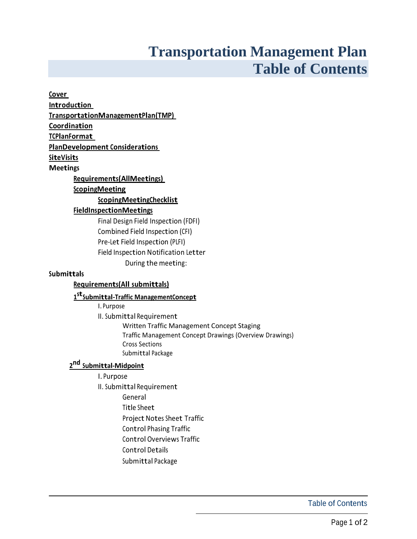# **Transportation Management Plan Table of Contents**

| <u>Cover</u>                                                  |
|---------------------------------------------------------------|
| <b>Introduction</b>                                           |
| TransportationManagementPlan(TMP)                             |
| Coordination                                                  |
| <b>TCPlanFormat</b>                                           |
| <b>PlanDevelopment Considerations</b>                         |
| <b>SiteVisits</b>                                             |
| <b>Meetings</b>                                               |
| <b>Requirements (AllMeetings)</b>                             |
| <b>ScopingMeeting</b>                                         |
| ScopingMeetingChecklist                                       |
| <b>FieldInspectionMeetings</b>                                |
| Final Design Field Inspection (FDFI)                          |
| Combined Field Inspection (CFI)                               |
| Pre-Let Field Inspection (PLFI)                               |
| Field Inspection Notification Letter                          |
| During the meeting:                                           |
| <b>Submittals</b>                                             |
| <b>Requirements(All submittals)</b>                           |
| 1 <sup>st</sup> Submittal-Traffic ManagementConcept           |
| I. Purpose                                                    |
| II. Submittal Requirement                                     |
| Written Traffic Management Concept Staging                    |
| Traffic Management Concept Drawings (Overview Drawings)       |
| <b>Cross Sections</b><br>Submittal Package                    |
|                                                               |
| 2 <sup>nd</sup> Submittal-Midpoint                            |
| I. Purpose                                                    |
| II. Submittal Requirement                                     |
| General<br>Title Sheet                                        |
|                                                               |
| Project Notes Sheet Traffic<br><b>Control Phasing Traffic</b> |
|                                                               |
| <b>Control Overviews Traffic</b>                              |
| <b>Control Details</b>                                        |
| Submittal Package                                             |
|                                                               |

Table of Contents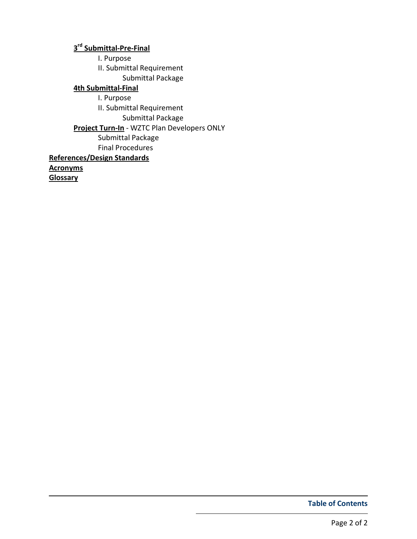### 3<sup>rd</sup> [Submittal-Pre-Final](#page-29-0)

I. Purpose

II. Submittal Requirement

Submittal Package

### [4th Submittal-Final](#page-30-0)

I. Purpose

II. Submittal Requirement

Submittal Package

[Project Turn-In](#page-31-0) - WZTC Plan Developers ONLY

Submittal Package

Final Procedures

### [References/Design Standards](#page-32-0)

**[Acronyms](#page-33-0)** 

**[Glossary](#page-36-0)** 

Table of Contents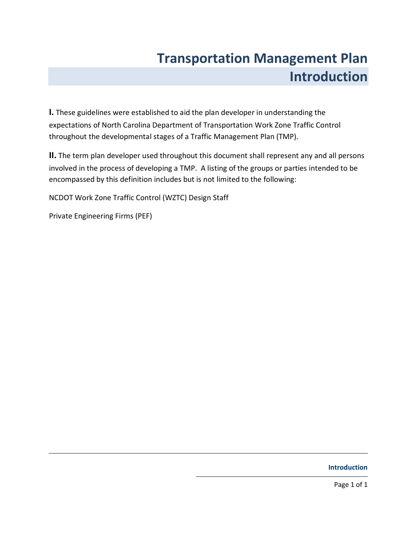# Transportation Management Plan Introduction

<span id="page-3-0"></span>I. These guidelines were established to aid the plan developer in understanding the expectations of North Carolina Department of Transportation Work Zone Traffic Control throughout the developmental stages of a Traffic Management Plan (TMP).

II. The term plan developer used throughout this document shall represent any and all persons involved in the process of developing a TMP. A listing of the groups or parties intended to be encompassed by this definition includes but is not limited to the following:

NCDOT Work Zone Traffic Control (WZTC) Design Staff

Private Engineering Firms (PEF)

Introduction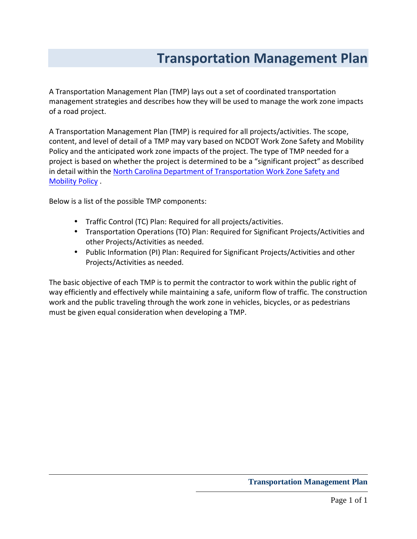# Transportation Management Plan

<span id="page-4-0"></span>A Transportation Management Plan (TMP) lays out a set of coordinated transportation management strategies and describes how they will be used to manage the work zone impacts of a road project.

A Transportation Management Plan (TMP) is required for all projects/activities. The scope, content, and level of detail of a TMP may vary based on NCDOT Work Zone Safety and Mobility Policy and the anticipated work zone impacts of the project. The type of TMP needed for a project is based on whether the project is determined to be a "significant project" as described in detail within the [North Carolina Department of Transportation Work Zone Safety and](http://ncdot.org/doh/preconstruct/wztc/final rule/ImportantDocs/WZSafety_and_Mobility.pdf)  Mobility Policy .

Below is a list of the possible TMP components:

- Traffic Control (TC) Plan: Required for all projects/activities.
- Transportation Operations (TO) Plan: Required for Significant Projects/Activities and other Projects/Activities as needed.
- Public Information (PI) Plan: Required for Significant Projects/Activities and other Projects/Activities as needed.

The basic objective of each TMP is to permit the contractor to work within the public right of way efficiently and effectively while maintaining a safe, uniform flow of traffic. The construction work and the public traveling through the work zone in vehicles, bicycles, or as pedestrians must be given equal consideration when developing a TMP.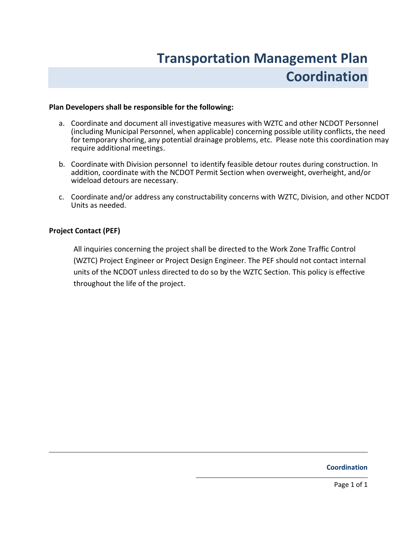# Transportation Management Plan Coordination

#### <span id="page-5-0"></span>Plan Developers shall be responsible for the following:

- a. Coordinate and document all investigative measures with WZTC and other NCDOT Personnel (including Municipal Personnel, when applicable) concerning possible utility conflicts, the need for temporary shoring, any potential drainage problems, etc. Please note this coordination may require additional meetings.
- b. Coordinate with Division personnel to identify feasible detour routes during construction. In addition, coordinate with the NCDOT Permit Section when overweight, overheight, and/or wideload detours are necessary.
- c. Coordinate and/or address any constructability concerns with WZTC, Division, and other NCDOT Units as needed.

#### Project Contact (PEF)

All inquiries concerning the project shall be directed to the Work Zone Traffic Control (WZTC) Project Engineer or Project Design Engineer. The PEF should not contact internal units of the NCDOT unless directed to do so by the WZTC Section. This policy is effective throughout the life of the project.

### Coordination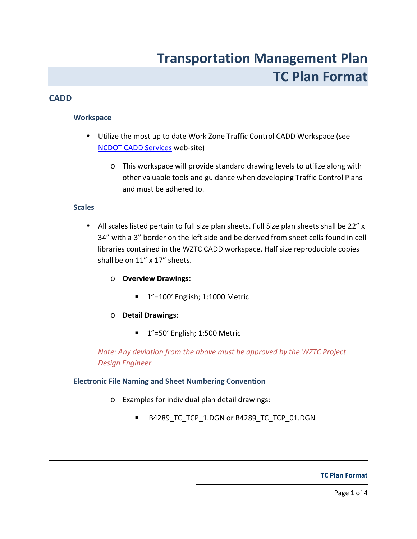# Transportation Management Plan TC Plan Format

### <span id="page-6-0"></span>**CADD**

### **Workspace**

- Utilize the most up to date Work Zone Traffic Control CADD Workspace (see [NCDOT CADD Services](http://www.ncdot.gov/doh/CADD/default.html) web-site)
	- o This workspace will provide standard drawing levels to utilize along with other valuable tools and guidance when developing Traffic Control Plans and must be adhered to.

### **Scales**

• All scales listed pertain to full size plan sheets. Full Size plan sheets shall be 22" x 34" with a 3" border on the left side and be derived from sheet cells found in cell libraries contained in the WZTC CADD workspace. Half size reproducible copies shall be on 11" x 17" sheets.

### o Overview Drawings:

**1**"=100' English; 1:1000 Metric

### o Detail Drawings:

<sup>1</sup>"=50' English; 1:500 Metric

Note: Any deviation from the above must be approved by the WZTC Project Design Engineer.

### Electronic File Naming and Sheet Numbering Convention

- o Examples for individual plan detail drawings:
	- B4289\_TC\_TCP\_1.DGN or B4289\_TC\_TCP\_01.DGN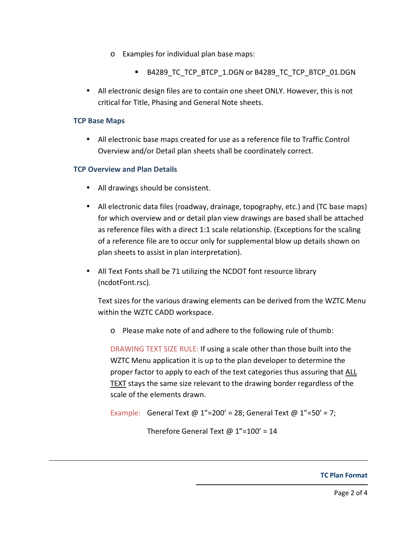- o Examples for individual plan base maps:
	- B4289 TC\_TCP\_BTCP\_1.DGN or B4289\_TC\_TCP\_BTCP\_01.DGN
- All electronic design files are to contain one sheet ONLY. However, this is not critical for Title, Phasing and General Note sheets.

#### TCP Base Maps

• All electronic base maps created for use as a reference file to Traffic Control Overview and/or Detail plan sheets shall be coordinately correct.

### TCP Overview and Plan Details

- All drawings should be consistent.
- All electronic data files (roadway, drainage, topography, etc.) and (TC base maps) for which overview and or detail plan view drawings are based shall be attached as reference files with a direct 1:1 scale relationship. (Exceptions for the scaling of a reference file are to occur only for supplemental blow up details shown on plan sheets to assist in plan interpretation).
- All Text Fonts shall be 71 utilizing the NCDOT font resource library (ncdotFont.rsc).

Text sizes for the various drawing elements can be derived from the WZTC Menu within the WZTC CADD workspace.

o Please make note of and adhere to the following rule of thumb:

DRAWING TEXT SIZE RULE: If using a scale other than those built into the WZTC Menu application it is up to the plan developer to determine the proper factor to apply to each of the text categories thus assuring that ALL TEXT stays the same size relevant to the drawing border regardless of the scale of the elements drawn.

```
Example: General Text @ 1"=200' = 28; General Text @ 1"=50' = 7;
```
Therefore General Text  $@ 1" = 100' = 14$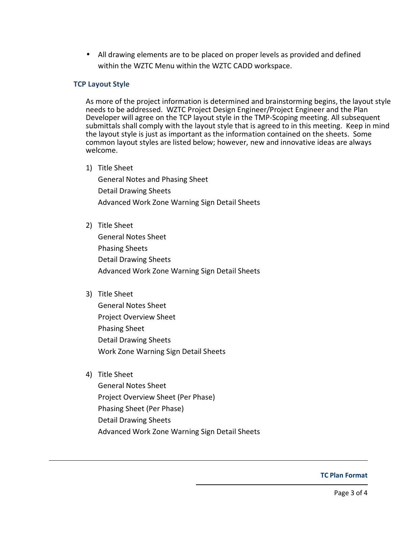• All drawing elements are to be placed on proper levels as provided and defined within the WZTC Menu within the WZTC CADD workspace.

#### TCP Layout Style

As more of the project information is determined and brainstorming begins, the layout style needs to be addressed. WZTC Project Design Engineer/Project Engineer and the Plan Developer will agree on the TCP layout style in the TMP-Scoping meeting. All subsequent submittals shall comply with the layout style that is agreed to in this meeting. Keep in mind the layout style is just as important as the information contained on the sheets. Some common layout styles are listed below; however, new and innovative ideas are always welcome.

1) Title Sheet

General Notes and Phasing Sheet Detail Drawing Sheets Advanced Work Zone Warning Sign Detail Sheets

2) Title Sheet

General Notes Sheet Phasing Sheets Detail Drawing Sheets Advanced Work Zone Warning Sign Detail Sheets

3) Title Sheet

General Notes Sheet Project Overview Sheet Phasing Sheet Detail Drawing Sheets Work Zone Warning Sign Detail Sheets

4) Title Sheet

General Notes Sheet Project Overview Sheet (Per Phase) Phasing Sheet (Per Phase) Detail Drawing Sheets Advanced Work Zone Warning Sign Detail Sheets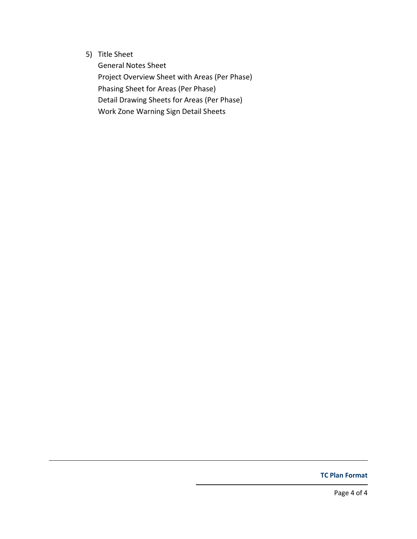5) Title Sheet

 General Notes Sheet Project Overview Sheet with Areas (Per Phase) Phasing Sheet for Areas (Per Phase) Detail Drawing Sheets for Areas (Per Phase) Work Zone Warning Sign Detail Sheets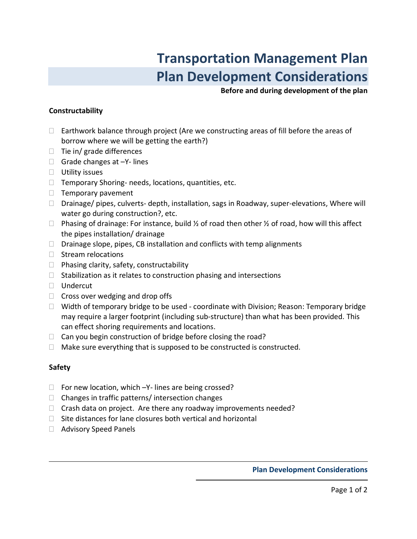# Transportation Management Plan Plan Development Considerations

Before and during development of the plan

#### <span id="page-10-0"></span>Constructability

 Earthwork balance through project (Are we constructing areas of fill before the areas of borrow where we will be getting the earth?) Tie in/ grade differences Grade changes at –Y- lines Utility issues Temporary Shoring- needs, locations, quantities, etc. Temporary pavement Drainage/ pipes, culverts- depth, installation, sags in Roadway, super-elevations, Where will water go during construction?, etc. Phasing of drainage: For instance, build 1/2 of road then other 1/2 of road, how will this affect the pipes installation/ drainage Drainage slope, pipes, CB installation and conflicts with temp alignments Stream relocations Phasing clarity, safety, constructability Stabilization as it relates to construction phasing and intersections Undercut Cross over wedging and drop offs Width of temporary bridge to be used - coordinate with Division; Reason: Temporary bridge may require a larger footprint (including sub-structure) than what has been provided. This can effect shoring requirements and locations. Can you begin construction of bridge before closing the road? Make sure everything that is supposed to be constructed is constructed.

### Safety

 For new location, which –Y- lines are being crossed? Changes in traffic patterns/ intersection changes Crash data on project. Are there any roadway improvements needed? Site distances for lane closures both vertical and horizontal Advisory Speed Panels

Plan Development Considerations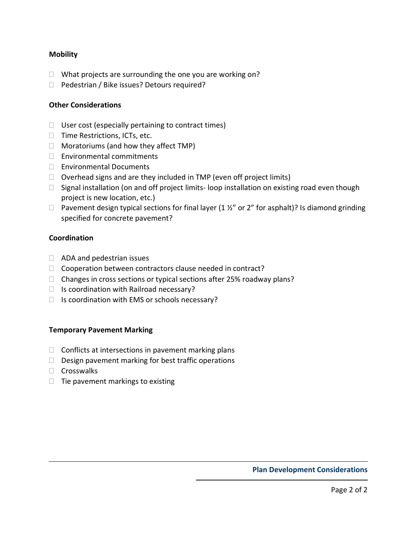#### **Mobility**

 What projects are surrounding the one you are working on? Pedestrian / Bike issues? Detours required?

#### Other Considerations

 User cost (especially pertaining to contract times) Time Restrictions, ICTs, etc. Moratoriums (and how they affect TMP) Environmental commitments Environmental Documents Overhead signs and are they included in TMP (even off project limits) Signal installation (on and off project limits- loop installation on existing road even though project is new location, etc.) Pavement design typical sections for final layer (1 %" or 2" for asphalt)? Is diamond grinding specified for concrete pavement?

#### Coordination

ADA and pedestrian issues

Cooperation between contractors clause needed in contract?

Changes in cross sections or typical sections after 25% roadway plans?

Is coordination with Railroad necessary?

Is coordination with EMS or schools necessary?

#### Temporary Pavement Marking

 Conflicts at intersections in pavement marking plans Design pavement marking for best traffic operations **Crosswalks** Tie pavement markings to existing

Plan Development Considerations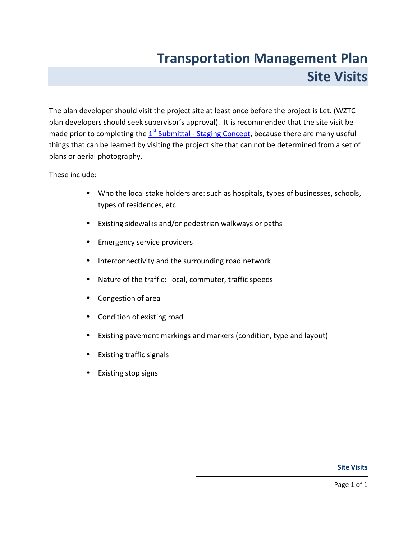# Transportation Management Plan Site Visits

<span id="page-12-0"></span>The plan developer should visit the project site at least once before the project is Let. (WZTC plan developers should seek supervisor's approval). It is recommended that the site visit be made prior to completing the 1<sup>st</sup> [Submittal - Staging Concept,](#page--1-0) because there are many useful things that can be learned by visiting the project site that can not be determined from a set of plans or aerial photography.

These include:

- Who the local stake holders are: such as hospitals, types of businesses, schools, types of residences, etc.
- Existing sidewalks and/or pedestrian walkways or paths
- Emergency service providers
- Interconnectivity and the surrounding road network
- Nature of the traffic: local, commuter, traffic speeds
- Congestion of area
- Condition of existing road
- Existing pavement markings and markers (condition, type and layout)
- Existing traffic signals
- Existing stop signs

#### Site Visits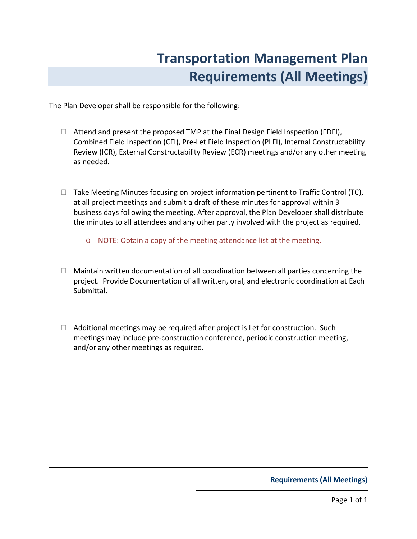# Transportation Management Plan Requirements (All Meetings)

<span id="page-13-0"></span>The Plan Developer shall be responsible for the following:

 Attend and present the proposed TMP at the Final Design Field Inspection (FDFI), Combined Field Inspection (CFI), Pre-Let Field Inspection (PLFI), Internal Constructability Review (ICR), External Constructability Review (ECR) meetings and/or any other meeting as needed.

 Take Meeting Minutes focusing on project information pertinent to Traffic Control (TC), at all project meetings and submit a draft of these minutes for approval within 3 business days following the meeting. After approval, the Plan Developer shall distribute the minutes to all attendees and any other party involved with the project as required.

o NOTE: Obtain a copy of the meeting attendance list at the meeting.

 Maintain written documentation of all coordination between all parties concerning the project. Provide Documentation of all written, oral, and electronic coordination at Each Submittal.

 Additional meetings may be required after project is Let for construction. Such meetings may include pre-construction conference, periodic construction meeting, and/or any other meetings as required.

#### Requirements (All Meetings)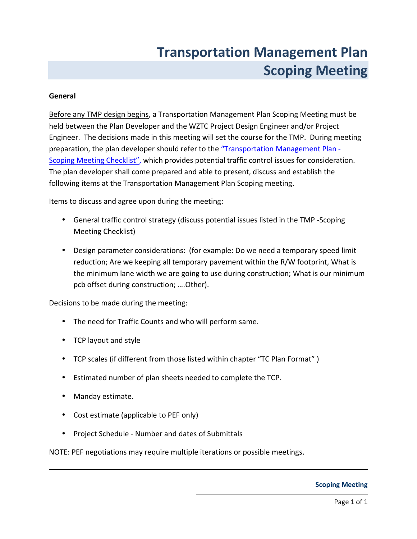# Transportation Management Plan Scoping Meeting

#### <span id="page-14-0"></span>General

Before any TMP design begins, a Transportation Management Plan Scoping Meeting must be held between the Plan Developer and the WZTC Project Design Engineer and/or Project Engineer. The decisions made in this meeting will set the course for the TMP. During meeting preparation, the plan developer should refer to the ["Transportation Management Plan -](#page-15-0) [Scoping Meeting Checklist",](#page-15-0) which provides potential traffic control issues for consideration. The plan developer shall come prepared and able to present, discuss and establish the following items at the Transportation Management Plan Scoping meeting.

Items to discuss and agree upon during the meeting:

- General traffic control strategy (discuss potential issues listed in the TMP -Scoping Meeting Checklist)
- Design parameter considerations: (for example: Do we need a temporary speed limit reduction; Are we keeping all temporary pavement within the R/W footprint, What is the minimum lane width we are going to use during construction; What is our minimum pcb offset during construction; ….Other).

Decisions to be made during the meeting:

- The need for Traffic Counts and who will perform same.
- TCP layout and style
- TCP scales (if different from those listed within chapter "TC Plan Format" )
- Estimated number of plan sheets needed to complete the TCP.
- Manday estimate.
- Cost estimate (applicable to PEF only)
- Project Schedule Number and dates of Submittals

NOTE: PEF negotiations may require multiple iterations or possible meetings.

#### Scoping Meeting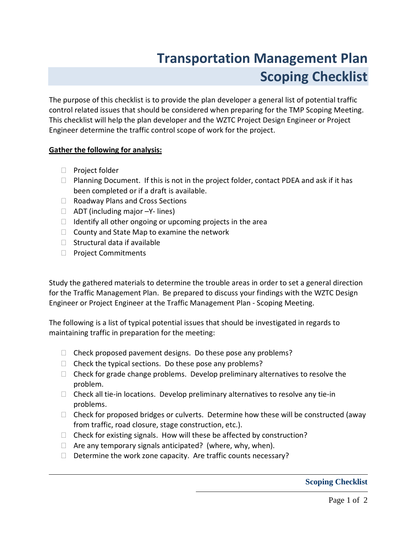# Transportation Management Plan Scoping Checklist

<span id="page-15-0"></span>The purpose of this checklist is to provide the plan developer a general list of potential traffic control related issues that should be considered when preparing for the TMP Scoping Meeting. This checklist will help the plan developer and the WZTC Project Design Engineer or Project Engineer determine the traffic control scope of work for the project.

#### Gather the following for analysis:

 Project folder Planning Document. If this is not in the project folder, contact PDEA and ask if it has been completed or if a draft is available. Roadway Plans and Cross Sections ADT (including major –Y- lines) Identify all other ongoing or upcoming projects in the area County and State Map to examine the network Structural data if available Project Commitments

Study the gathered materials to determine the trouble areas in order to set a general direction for the Traffic Management Plan. Be prepared to discuss your findings with the WZTC Design Engineer or Project Engineer at the Traffic Management Plan - Scoping Meeting.

The following is a list of typical potential issues that should be investigated in regards to maintaining traffic in preparation for the meeting:

 Check proposed pavement designs. Do these pose any problems? Check the typical sections. Do these pose any problems? Check for grade change problems. Develop preliminary alternatives to resolve the problem. Check all tie-in locations. Develop preliminary alternatives to resolve any tie-in problems. Check for proposed bridges or culverts. Determine how these will be constructed (away from traffic, road closure, stage construction, etc.). Check for existing signals. How will these be affected by construction? Are any temporary signals anticipated? (where, why, when). Determine the work zone capacity. Are traffic counts necessary?

**Scoping Checklist**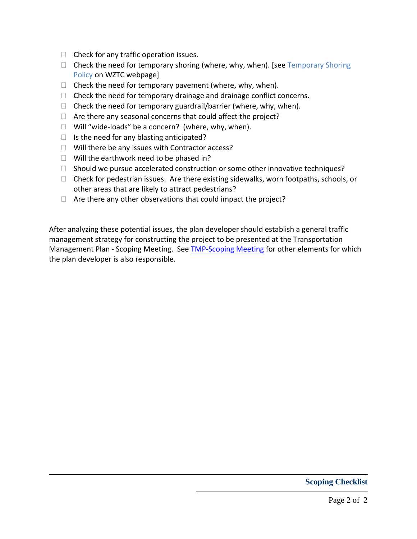Check for any traffic operation issues. Check the need for temporary shoring (where, why, when). [see Temporary Shoring Policy on WZTC webpage] Check the need for temporary pavement (where, why, when). Check the need for temporary drainage and drainage conflict concerns. Check the need for temporary guardrail/barrier (where, why, when). Are there any seasonal concerns that could affect the project? Will "wide-loads" be a concern? (where, why, when). Is the need for any blasting anticipated? Will there be any issues with Contractor access? Will the earthwork need to be phased in? Should we pursue accelerated construction or some other innovative techniques? Check for pedestrian issues. Are there existing sidewalks, worn footpaths, schools, or other areas that are likely to attract pedestrians? Are there any other observations that could impact the project?

After analyzing these potential issues, the plan developer should establish a general traffic management strategy for constructing the project to be presented at the Transportation Management Plan - Scoping Meeting. See [TMP-Scoping Meeting](#page-14-0) for other elements for which the plan developer is also responsible.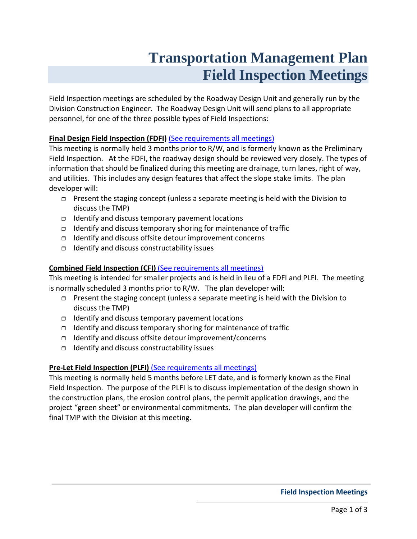# **Transportation Management Plan Field Inspection Meetings**

<span id="page-17-0"></span>Field Inspection meetings are scheduled by the Roadway Design Unit and generally run by the Division Construction Engineer. The Roadway Design Unit will send plans to all appropriate personnel, for one of the three possible types of Field Inspections:

### Final Design Field Inspection (FDFI) [\(See requirements all meetings\)](#page-13-0)

This meeting is normally held 3 months prior to R/W, and is formerly known as the Preliminary Field Inspection. At the FDFI, the roadway design should be reviewed very closely. The types of information that should be finalized during this meeting are drainage, turn lanes, right of way, and utilities. This includes any design features that affect the slope stake limits. The plan developer will:

- □ Present the staging concept (unless a separate meeting is held with the Division to discuss the TMP)
- $\Box$  Identify and discuss temporary pavement locations
- □ Identify and discuss temporary shoring for maintenance of traffic
- Identify and discuss offsite detour improvement concerns
- $\Box$  Identify and discuss constructability issues

### Combined Field Inspection (CFI) [\(See requirements all meetings\)](#page-13-0)

This meeting is intended for smaller projects and is held in lieu of a FDFI and PLFI. The meeting is normally scheduled 3 months prior to R/W. The plan developer will:

- Present the staging concept (unless a separate meeting is held with the Division to discuss the TMP)
- $\Box$  Identify and discuss temporary pavement locations
- $\Box$  Identify and discuss temporary shoring for maintenance of traffic
- Identify and discuss offsite detour improvement/concerns
- $\Box$  Identify and discuss constructability issues

### Pre-Let Field Inspection (PLFI) [\(See requirements all meetings\)](#page-13-0)

This meeting is normally held 5 months before LET date, and is formerly known as the Final Field Inspection. The purpose of the PLFI is to discuss implementation of the design shown in the construction plans, the erosion control plans, the permit application drawings, and the project "green sheet" or environmental commitments. The plan developer will confirm the final TMP with the Division at this meeting.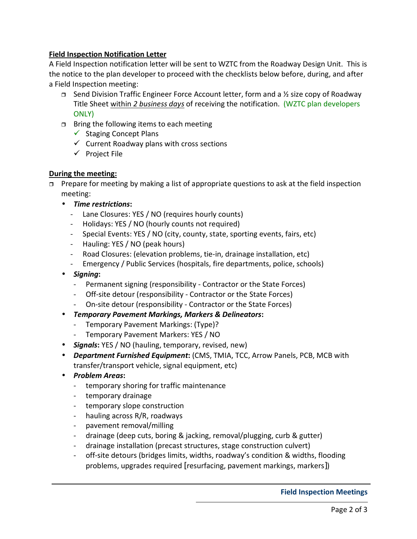### Field Inspection Notification Letter

A Field Inspection notification letter will be sent to WZTC from the Roadway Design Unit. This is the notice to the plan developer to proceed with the checklists below before, during, and after a Field Inspection meeting:

- $\Box$  Send Division Traffic Engineer Force Account letter, form and a  $\frac{1}{2}$  size copy of Roadway Title Sheet within 2 business days of receiving the notification. (WZTC plan developers ONLY)
- $\Box$  Bring the following items to each meeting
	- Staging Concept Plans
	- $\checkmark$  Current Roadway plans with cross sections
	- Project File

### During the meeting:

- $\Box$  Prepare for meeting by making a list of appropriate questions to ask at the field inspection meeting:
	- Time restrictions:
		- Lane Closures: YES / NO (requires hourly counts)
		- Holidays: YES / NO (hourly counts not required)
		- Special Events: YES / NO (city, county, state, sporting events, fairs, etc)
		- Hauling: YES / NO (peak hours)
		- Road Closures: (elevation problems, tie-in, drainage installation, etc)
		- Emergency / Public Services (hospitals, fire departments, police, schools)
	- Signing:
		- Permanent signing (responsibility Contractor or the State Forces)
		- Off-site detour (responsibility Contractor or the State Forces)
		- On-site detour (responsibility Contractor or the State Forces)
	- Temporary Pavement Markings, Markers & Delineators:
		- Temporary Pavement Markings: (Type)?
		- Temporary Pavement Markers: YES / NO
	- Signals: YES / NO (hauling, temporary, revised, new)
	- Department Furnished Equipment: (CMS, TMIA, TCC, Arrow Panels, PCB, MCB with transfer/transport vehicle, signal equipment, etc)
	- Problem Areas:
		- temporary shoring for traffic maintenance
		- temporary drainage
		- temporary slope construction
		- hauling across R/R, roadways
		- pavement removal/milling
		- drainage (deep cuts, boring & jacking, removal/plugging, curb & gutter)
		- drainage installation (precast structures, stage construction culvert)
		- off-site detours (bridges limits, widths, roadway's condition & widths, flooding problems, upgrades required [resurfacing, pavement markings, markers])

#### Field Inspection Meetings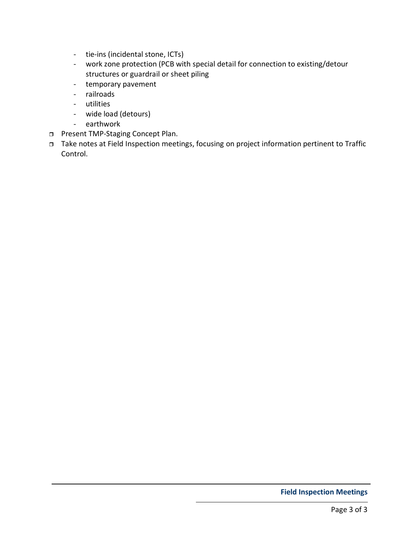- tie-ins (incidental stone, ICTs)
- work zone protection (PCB with special detail for connection to existing/detour structures or guardrail or sheet piling
- temporary pavement
- railroads
- utilities
- wide load (detours)
- earthwork
- **D** Present TMP-Staging Concept Plan.
- Take notes at Field Inspection meetings, focusing on project information pertinent to Traffic Control.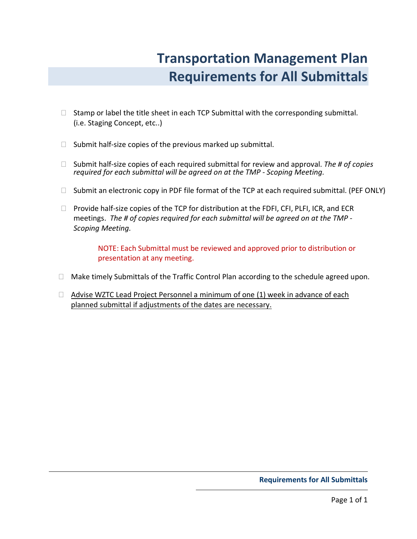# Transportation Management Plan Requirements for All Submittals

<span id="page-20-0"></span> Stamp or label the title sheet in each TCP Submittal with the corresponding submittal. (i.e. Staging Concept, etc..)

Submit half-size copies of the previous marked up submittal.

Submit half-size copies of each required submittal for review and approval. The # of copies required for each submittal will be agreed on at the TMP - Scoping Meeting.

Submit an electronic copy in PDF file format of the TCP at each required submittal. (PEF ONLY)

 Provide half-size copies of the TCP for distribution at the FDFI, CFI, PLFI, ICR, and ECR meetings. The # of copies required for each submittal will be agreed on at the TMP - Scoping Meeting.

NOTE: Each Submittal must be reviewed and approved prior to distribution or presentation at any meeting.

Make timely Submittals of the Traffic Control Plan according to the schedule agreed upon.

 Advise WZTC Lead Project Personnel a minimum of one (1) week in advance of each planned submittal if adjustments of the dates are necessary.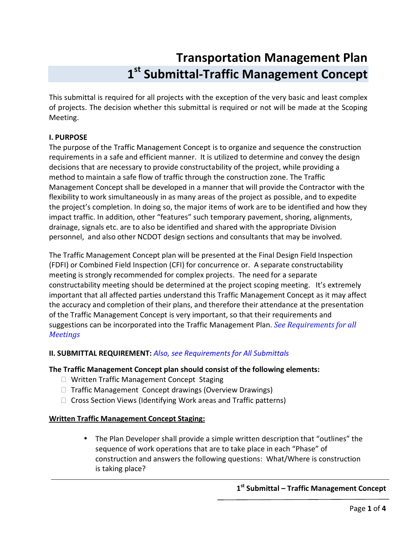# Transportation Management Plan 1<sup>st</sup> Submittal-Traffic Management Concept

<span id="page-21-0"></span>This submittal is required for all projects with the exception of the very basic and least complex of projects. The decision whether this submittal is required or not will be made at the Scoping Meeting.

### I. PURPOSE

The purpose of the Traffic Management Concept is to organize and sequence the construction requirements in a safe and efficient manner. It is utilized to determine and convey the design decisions that are necessary to provide constructability of the project, while providing a method to maintain a safe flow of traffic through the construction zone. The Traffic Management Concept shall be developed in a manner that will provide the Contractor with the flexibility to work simultaneously in as many areas of the project as possible, and to expedite the project's completion. In doing so, the major items of work are to be identified and how they impact traffic. In addition, other "features" such temporary pavement, shoring, alignments, drainage, signals etc. are to also be identified and shared with the appropriate Division personnel, and also other NCDOT design sections and consultants that may be involved.

The Traffic Management Concept plan will be presented at the Final Design Field Inspection (FDFI) or Combined Field Inspection (CFI) for concurrence or. A separate constructability meeting is strongly recommended for complex projects. The need for a separate constructability meeting should be determined at the project scoping meeting. It's extremely important that all affected parties understand this Traffic Management Concept as it may affect the accuracy and completion of their plans, and therefore their attendance at the presentation of the Traffic Management Concept is very important, so that their requirements and suggestions can be incorporated into the Traffic Management Plan. [See Requirements for all](#page-13-0) **[Meetings](#page-13-0)** 

### II. SUBMITTAL REQUIREMENT: [Also, see Requirements for All Submittals](#page-20-0)

### The Traffic Management Concept plan should consist of the following elements:

 Written Traffic Management Concept Staging Traffic Management Concept drawings (Overview Drawings) Cross Section Views (Identifying Work areas and Traffic patterns)

### Written Traffic Management Concept Staging:

• The Plan Developer shall provide a simple written description that "outlines" the sequence of work operations that are to take place in each "Phase" of construction and answers the following questions: What/Where is construction is taking place?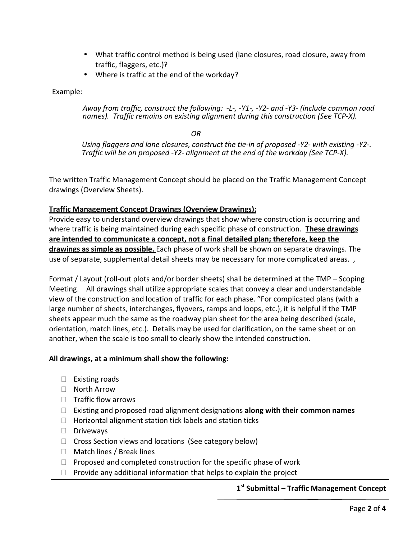- What traffic control method is being used (lane closures, road closure, away from traffic, flaggers, etc.)?
- Where is traffic at the end of the workday?

Example:

Away from traffic, construct the following: -L-, -Y1-, -Y2- and -Y3- (include common road names). Traffic remains on existing alignment during this construction (See TCP-X).

**OR** Service Service Service Service Service Service Service Service Service Service Service Service Service Service Service Service Service Service Service Service Service Service Service Service Service Service Service S

Using flaggers and lane closures, construct the tie-in of proposed -Y2- with existing -Y2-. Traffic will be on proposed -Y2- alignment at the end of the workday (See TCP-X).

The written Traffic Management Concept should be placed on the Traffic Management Concept drawings (Overview Sheets).

### Traffic Management Concept Drawings (Overview Drawings):

Provide easy to understand overview drawings that show where construction is occurring and where traffic is being maintained during each specific phase of construction. These drawings are intended to communicate a concept, not a final detailed plan; therefore, keep the drawings as simple as possible. Each phase of work shall be shown on separate drawings. The use of separate, supplemental detail sheets may be necessary for more complicated areas. ,

Format / Layout (roll-out plots and/or border sheets) shall be determined at the TMP – Scoping Meeting. All drawings shall utilize appropriate scales that convey a clear and understandable view of the construction and location of traffic for each phase. "For complicated plans (with a large number of sheets, interchanges, flyovers, ramps and loops, etc.), it is helpful if the TMP sheets appear much the same as the roadway plan sheet for the area being described (scale, orientation, match lines, etc.). Details may be used for clarification, on the same sheet or on another, when the scale is too small to clearly show the intended construction.

### All drawings, at a minimum shall show the following:

 Existing roads North Arrow Traffic flow arrows Existing and proposed road alignment designations along with their common names Horizontal alignment station tick labels and station ticks Driveways Cross Section views and locations (See category below) Match lines / Break lines Proposed and completed construction for the specific phase of work Provide any additional information that helps to explain the project

1<sup>st</sup> Submittal – Traffic Management Concept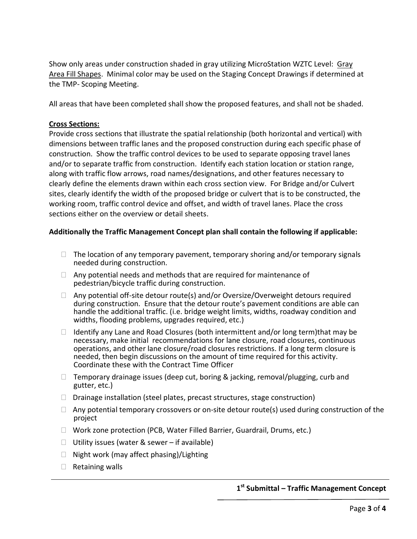Show only areas under construction shaded in gray utilizing MicroStation WZTC Level: Gray Area Fill Shapes. Minimal color may be used on the Staging Concept Drawings if determined at the TMP- Scoping Meeting.

All areas that have been completed shall show the proposed features, and shall not be shaded.

#### Cross Sections:

Provide cross sections that illustrate the spatial relationship (both horizontal and vertical) with dimensions between traffic lanes and the proposed construction during each specific phase of construction. Show the traffic control devices to be used to separate opposing travel lanes and/or to separate traffic from construction. Identify each station location or station range, along with traffic flow arrows, road names/designations, and other features necessary to clearly define the elements drawn within each cross section view. For Bridge and/or Culvert sites, clearly identify the width of the proposed bridge or culvert that is to be constructed, the working room, traffic control device and offset, and width of travel lanes. Place the cross sections either on the overview or detail sheets.

### Additionally the Traffic Management Concept plan shall contain the following if applicable:

 The location of any temporary pavement, temporary shoring and/or temporary signals needed during construction.

 Any potential needs and methods that are required for maintenance of pedestrian/bicycle traffic during construction.

 Any potential off-site detour route(s) and/or Oversize/Overweight detours required during construction. Ensure that the detour route's pavement conditions are able can handle the additional traffic. (i.e. bridge weight limits, widths, roadway condition and widths, flooding problems, upgrades required, etc.)

 Identify any Lane and Road Closures (both intermittent and/or long term)that may be necessary, make initial recommendations for lane closure, road closures, continuous operations, and other lane closure/road closures restrictions. If a long term closure is needed, then begin discussions on the amount of time required for this activity. Coordinate these with the Contract Time Officer

 Temporary drainage issues (deep cut, boring & jacking, removal/plugging, curb and gutter, etc.)

Drainage installation (steel plates, precast structures, stage construction)

 Any potential temporary crossovers or on-site detour route(s) used during construction of the project

Work zone protection (PCB, Water Filled Barrier, Guardrail, Drums, etc.)

Utility issues (water & sewer – if available)

Night work (may affect phasing)/Lighting

Retaining walls

### 1<sup>st</sup> Submittal – Traffic Management Concept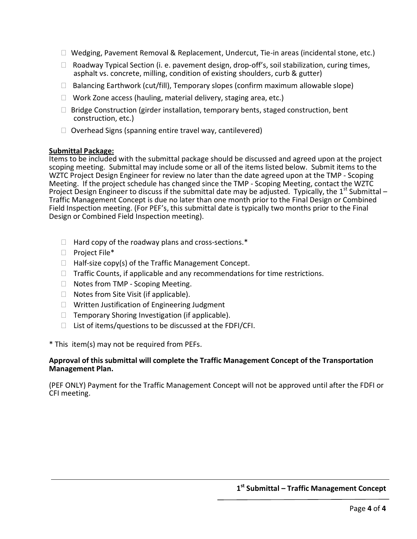Wedging, Pavement Removal & Replacement, Undercut, Tie-in areas (incidental stone, etc.)

 Roadway Typical Section (i. e. pavement design, drop-off's, soil stabilization, curing times, asphalt vs. concrete, milling, condition of existing shoulders, curb & gutter)

Balancing Earthwork (cut/fill), Temporary slopes (confirm maximum allowable slope)

Work Zone access (hauling, material delivery, staging area, etc.)

 Bridge Construction (girder installation, temporary bents, staged construction, bent construction, etc.)

Overhead Signs (spanning entire travel way, cantilevered)

#### Submittal Package:

Items to be included with the submittal package should be discussed and agreed upon at the project scoping meeting. Submittal may include some or all of the items listed below. Submit items to the WZTC Project Design Engineer for review no later than the date agreed upon at the TMP - Scoping Meeting. If the project schedule has changed since the TMP - Scoping Meeting, contact the WZTC Project Design Engineer to discuss if the submittal date may be adjusted. Typically, the 1<sup>st</sup> Submittal – Traffic Management Concept is due no later than one month prior to the Final Design or Combined Field Inspection meeting. (For PEF's, this submittal date is typically two months prior to the Final Design or Combined Field Inspection meeting).

 Hard copy of the roadway plans and cross-sections.\* Project File\* Half-size copy(s) of the Traffic Management Concept. Traffic Counts, if applicable and any recommendations for time restrictions. Notes from TMP - Scoping Meeting. Notes from Site Visit (if applicable). Written Justification of Engineering Judgment Temporary Shoring Investigation (if applicable). List of items/questions to be discussed at the FDFI/CFI.

\* This item(s) may not be required from PEFs.

#### Approval of this submittal will complete the Traffic Management Concept of the Transportation Management Plan.

(PEF ONLY) Payment for the Traffic Management Concept will not be approved until after the FDFI or CFI meeting.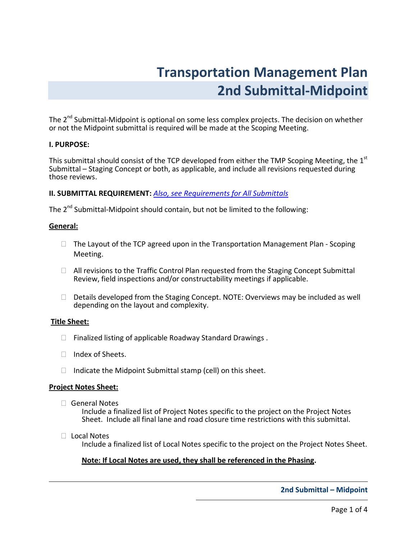# Transportation Management Plan 2nd Submittal-Midpoint

<span id="page-25-0"></span>The  $2^{nd}$  Submittal-Midpoint is optional on some less complex projects. The decision on whether or not the Midpoint submittal is required will be made at the Scoping Meeting.

#### I. PURPOSE:

This submittal should consist of the TCP developed from either the TMP Scoping Meeting, the  $1<sup>st</sup>$ Submittal – Staging Concept or both, as applicable, and include all revisions requested during those reviews.

#### II. SUBMITTAL REQUIREMENT: [Also, see Requirements for All Submittals](#page-20-0)

The  $2^{nd}$  Submittal-Midpoint should contain, but not be limited to the following:

#### General:

 The Layout of the TCP agreed upon in the Transportation Management Plan - Scoping Meeting.

 All revisions to the Traffic Control Plan requested from the Staging Concept Submittal Review, field inspections and/or constructability meetings if applicable.

 Details developed from the Staging Concept. NOTE: Overviews may be included as well depending on the layout and complexity.

#### Title Sheet:

Finalized listing of applicable Roadway Standard Drawings .

Index of Sheets.

Indicate the Midpoint Submittal stamp (cell) on this sheet.

#### Project Notes Sheet:

General Notes

Include a finalized list of Project Notes specific to the project on the Project Notes Sheet. Include all final lane and road closure time restrictions with this submittal.

Local Notes

Include a finalized list of Local Notes specific to the project on the Project Notes Sheet.

#### Note: If Local Notes are used, they shall be referenced in the Phasing.

#### 2nd Submittal – Midpoint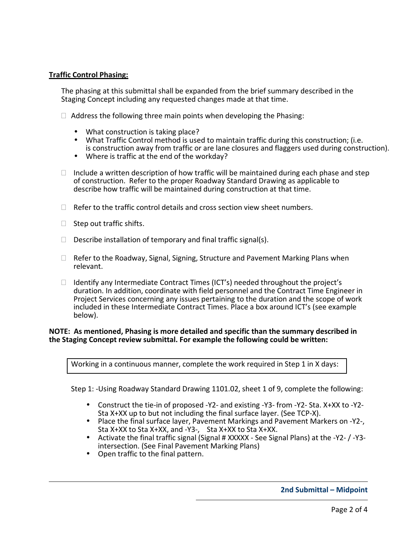#### Traffic Control Phasing:

The phasing at this submittal shall be expanded from the brief summary described in the Staging Concept including any requested changes made at that time.

Address the following three main points when developing the Phasing:

- What construction is taking place?
- What Traffic Control method is used to maintain traffic during this construction; (i.e. is construction away from traffic or are lane closures and flaggers used during construction).
- Where is traffic at the end of the workday?

 Include a written description of how traffic will be maintained during each phase and step of construction. Refer to the proper Roadway Standard Drawing as applicable to describe how traffic will be maintained during construction at that time.

Refer to the traffic control details and cross section view sheet numbers.

Step out traffic shifts.

Describe installation of temporary and final traffic signal(s).

 Refer to the Roadway, Signal, Signing, Structure and Pavement Marking Plans when relevant.

 Identify any Intermediate Contract Times (ICT's) needed throughout the project's duration. In addition, coordinate with field personnel and the Contract Time Engineer in Project Services concerning any issues pertaining to the duration and the scope of work included in these Intermediate Contract Times. Place a box around ICT's (see example below).

#### NOTE: As mentioned, Phasing is more detailed and specific than the summary described in the Staging Concept review submittal. For example the following could be written:

Working in a continuous manner, complete the work required in Step 1 in X days:

Step 1: -Using Roadway Standard Drawing 1101.02, sheet 1 of 9, complete the following:

- Construct the tie-in of proposed -Y2- and existing -Y3- from -Y2- Sta. X+XX to -Y2- Sta X+XX up to but not including the final surface layer. (See TCP-X).
- Place the final surface layer, Pavement Markings and Pavement Markers on -Y2-, Sta X+XX to Sta X+XX, and -Y3-, Sta X+XX to Sta X+XX.
- Activate the final traffic signal (Signal # XXXXX See Signal Plans) at the -Y2- / -Y3 intersection. (See Final Pavement Marking Plans)
- Open traffic to the final pattern.

#### 2nd Submittal – Midpoint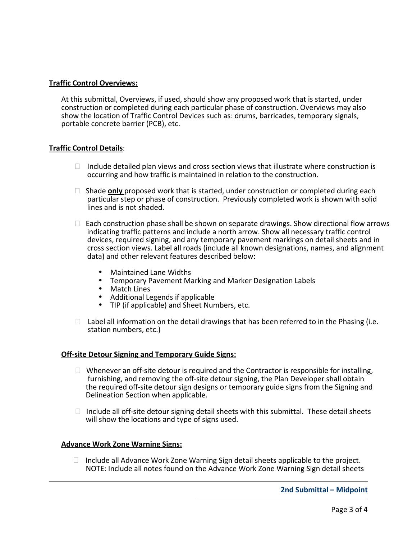#### Traffic Control Overviews:

At this submittal, Overviews, if used, should show any proposed work that is started, under construction or completed during each particular phase of construction. Overviews may also show the location of Traffic Control Devices such as: drums, barricades, temporary signals, portable concrete barrier (PCB), etc.

#### Traffic Control Details:

 Include detailed plan views and cross section views that illustrate where construction is occurring and how traffic is maintained in relation to the construction.

Shade **only** proposed work that is started, under construction or completed during each particular step or phase of construction. Previously completed work is shown with solid lines and is not shaded.

 Each construction phase shall be shown on separate drawings. Show directional flow arrows indicating traffic patterns and include a north arrow. Show all necessary traffic control devices, required signing, and any temporary pavement markings on detail sheets and in cross section views. Label all roads (include all known designations, names, and alignment data) and other relevant features described below:

- Maintained Lane Widths
- Temporary Pavement Marking and Marker Designation Labels
- Match Lines
- Additional Legends if applicable
- TIP (if applicable) and Sheet Numbers, etc.

Label all information on the detail drawings that has been referred to in the Phasing (i.e. station numbers, etc.)

#### Off-site Detour Signing and Temporary Guide Signs:

 Whenever an off-site detour is required and the Contractor is responsible for installing, furnishing, and removing the off-site detour signing, the Plan Developer shall obtain the required off-site detour sign designs or temporary guide signs from the Signing and Delineation Section when applicable.

 Include all off-site detour signing detail sheets with this submittal. These detail sheets will show the locations and type of signs used.

#### Advance Work Zone Warning Signs:

 Include all Advance Work Zone Warning Sign detail sheets applicable to the project. NOTE: Include all notes found on the Advance Work Zone Warning Sign detail sheets

2nd Submittal – Midpoint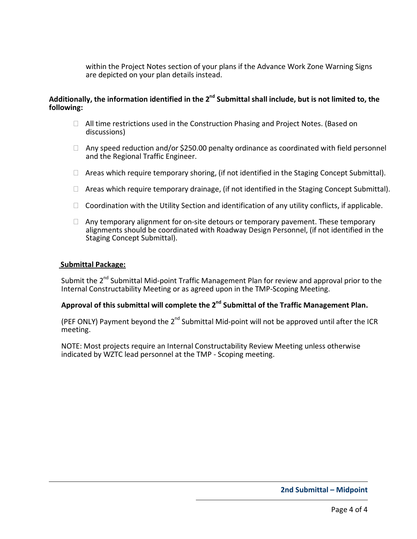within the Project Notes section of your plans if the Advance Work Zone Warning Signs are depicted on your plan details instead.

#### Additionally, the information identified in the  $2^{nd}$  Submittal shall include, but is not limited to, the following:

 All time restrictions used in the Construction Phasing and Project Notes. (Based on discussions)

 Any speed reduction and/or \$250.00 penalty ordinance as coordinated with field personnel and the Regional Traffic Engineer.

Areas which require temporary shoring, (if not identified in the Staging Concept Submittal).

Areas which require temporary drainage, (if not identified in the Staging Concept Submittal).

Coordination with the Utility Section and identification of any utility conflicts, if applicable.

 Any temporary alignment for on-site detours or temporary pavement. These temporary alignments should be coordinated with Roadway Design Personnel, (if not identified in the Staging Concept Submittal).

#### Submittal Package:

Submit the 2<sup>nd</sup> Submittal Mid-point Traffic Management Plan for review and approval prior to the Internal Constructability Meeting or as agreed upon in the TMP-Scoping Meeting.

### Approval of this submittal will complete the  $2^{nd}$  Submittal of the Traffic Management Plan.

(PEF ONLY) Payment beyond the  $2^{nd}$  Submittal Mid-point will not be approved until after the ICR meeting.

NOTE: Most projects require an Internal Constructability Review Meeting unless otherwise indicated by WZTC lead personnel at the TMP - Scoping meeting.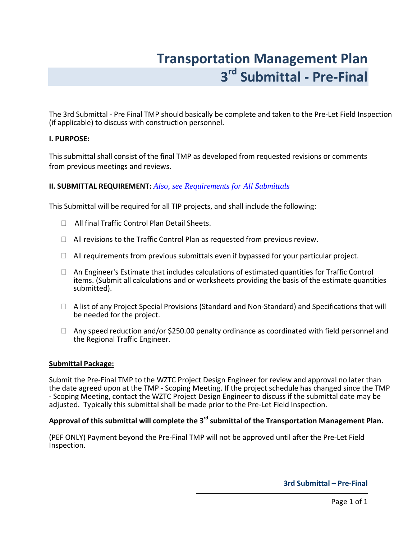# Transportation Management Plan 3<sup>rd</sup> Submittal - Pre-Final

<span id="page-29-0"></span>The 3rd Submittal - Pre Final TMP should basically be complete and taken to the Pre-Let Field Inspection (if applicable) to discuss with construction personnel.

#### I. PURPOSE:

This submittal shall consist of the final TMP as developed from requested revisions or comments from previous meetings and reviews.

#### II. SUBMITTAL REQUIREMENT: *[Also, see Requirements for All Submittals](#page-20-0)*

This Submittal will be required for all TIP projects, and shall include the following:

All final Traffic Control Plan Detail Sheets.

All revisions to the Traffic Control Plan as requested from previous review.

All requirements from previous submittals even if bypassed for your particular project.

 An Engineer's Estimate that includes calculations of estimated quantities for Traffic Control items. (Submit all calculations and or worksheets providing the basis of the estimate quantities submitted).

 A list of any Project Special Provisions (Standard and Non-Standard) and Specifications that will be needed for the project.

 Any speed reduction and/or \$250.00 penalty ordinance as coordinated with field personnel and the Regional Traffic Engineer.

#### Submittal Package:

Submit the Pre-Final TMP to the WZTC Project Design Engineer for review and approval no later than the date agreed upon at the TMP - Scoping Meeting. If the project schedule has changed since the TMP - Scoping Meeting, contact the WZTC Project Design Engineer to discuss if the submittal date may be adjusted. Typically this submittal shall be made prior to the Pre-Let Field Inspection.

### Approval of this submittal will complete the  $3<sup>rd</sup>$  submittal of the Transportation Management Plan.

(PEF ONLY) Payment beyond the Pre-Final TMP will not be approved until after the Pre-Let Field Inspection.

3rd Submittal – Pre-Final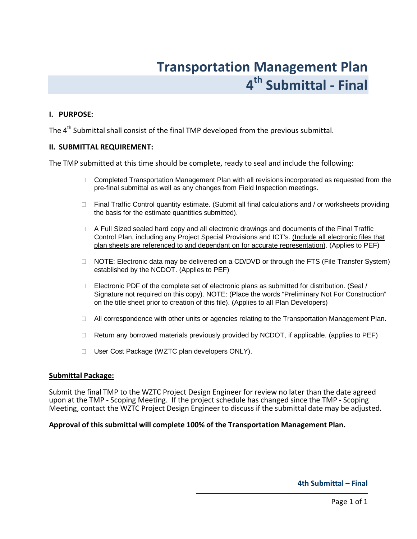# Transportation Management Plan 4<sup>th</sup> Submittal - Final

#### <span id="page-30-0"></span>I. PURPOSE:

The  $4<sup>th</sup>$  Submittal shall consist of the final TMP developed from the previous submittal.

#### II. SUBMITTAL REQUIREMENT:

The TMP submitted at this time should be complete, ready to seal and include the following:

 Completed Transportation Management Plan with all revisions incorporated as requested from the pre-final submittal as well as any changes from Field Inspection meetings.

 Final Traffic Control quantity estimate. (Submit all final calculations and / or worksheets providing the basis for the estimate quantities submitted).

 A Full Sized sealed hard copy and all electronic drawings and documents of the Final Traffic Control Plan, including any Project Special Provisions and ICT's. (Include all electronic files that plan sheets are referenced to and dependant on for accurate representation). (Applies to PEF)

 NOTE: Electronic data may be delivered on a CD/DVD or through the FTS (File Transfer System) established by the NCDOT. (Applies to PEF)

 Electronic PDF of the complete set of electronic plans as submitted for distribution. (Seal / Signature not required on this copy). NOTE: (Place the words "Preliminary Not For Construction" on the title sheet prior to creation of this file). (Applies to all Plan Developers)

All correspondence with other units or agencies relating to the Transportation Management Plan.

Return any borrowed materials previously provided by NCDOT, if applicable. (applies to PEF)

User Cost Package (WZTC plan developers ONLY).

#### Submittal Package:

Submit the final TMP to the WZTC Project Design Engineer for review no later than the date agreed upon at the TMP - Scoping Meeting. If the project schedule has changed since the TMP - Scoping Meeting, contact the WZTC Project Design Engineer to discuss if the submittal date may be adjusted.

#### Approval of this submittal will complete 100% of the Transportation Management Plan.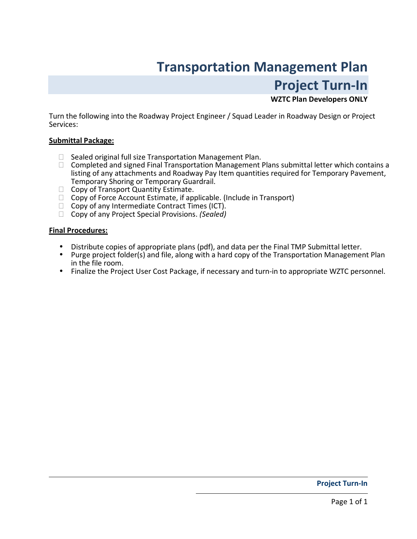# Transportation Management Plan Project Turn-In

### WZTC Plan Developers ONLY

<span id="page-31-0"></span>Turn the following into the Roadway Project Engineer / Squad Leader in Roadway Design or Project Services:

#### Submittal Package:

 Sealed original full size Transportation Management Plan. Completed and signed Final Transportation Management Plans submittal letter which contains a listing of any attachments and Roadway Pay Item quantities required for Temporary Pavement, Temporary Shoring or Temporary Guardrail. Copy of Transport Quantity Estimate. Copy of Force Account Estimate, if applicable. (Include in Transport) Copy of any Intermediate Contract Times (ICT). Copy of any Project Special Provisions. (Sealed)

#### Final Procedures:

- Distribute copies of appropriate plans (pdf), and data per the Final TMP Submittal letter.
- Purge project folder(s) and file, along with a hard copy of the Transportation Management Plan in the file room.
- Finalize the Project User Cost Package, if necessary and turn-in to appropriate WZTC personnel.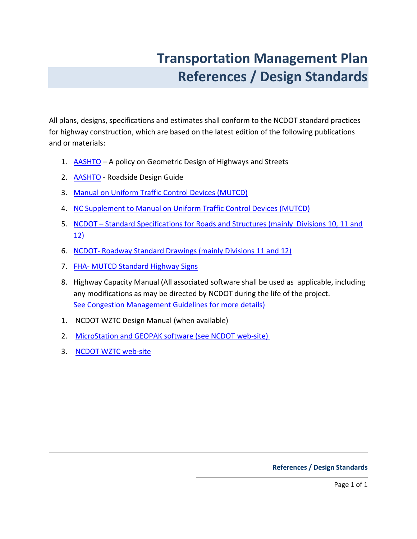# Transportation Management Plan References / Design Standards

<span id="page-32-0"></span>All plans, designs, specifications and estimates shall conform to the NCDOT standard practices for highway construction, which are based on the latest edition of the following publications and or materials:

- 1. AASHTO A policy on Geometric Design of Highways and Streets
- 2. [AASHTO Roadside Design Guide](http://www.transportation.org/)
- 3. [Manual on Uniform Traffic Control Devices \(MUTCD\)](http://mutcd.fhwa.dot.gov/pdfs/2003r1/pdf-index.htm)
- 4. [NC Supplement to Manual on Uniform Traffic Control Devices \(MUTCD\)](http://ncdot.gov/doh/preconstruct/traffic/mutcd)
- 5. NCDOT Standard Specifications for Roads and Structures (mainly Divisions 10, 11 and 12)
- 6. [NCDOT- Roadway Standard Drawings \(mainly Divisions 11 and 12\)](http://www.ncdot.org/doh/preconstruct/ps/std_draw/default.html)
- 7. [FHA- MUTCD Standard Highway Signs](http://mutcd.fhwa.dot.gov/SER-SHS_MILLENNIUM.HTM)
- 8. Highway Capacity Manual (All associated software shall be used as applicable, including any modifications as may be directed by NCDOT during the life of the project. [See Congestion Management Guidelines for more details\)](http://www.ncdot.org/doh/preconstruct/traffic/congestion/CM)
- 1. NCDOT WZTC Design Manual (when available)
- 2. [MicroStation and GEOPAK software \(see NCDOT web-site\)](http://www.ncdot.gov/doh/CADD/default.html)
- 3. [NCDOT WZTC web-site](http://ncdot.org/doh/preconstruct/wztc)

#### References / Design Standards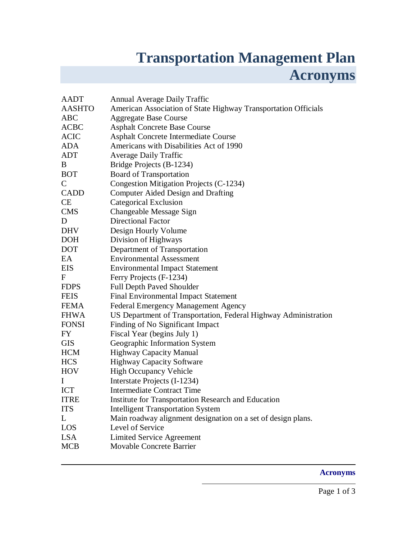# **Transportation Management Plan Acronyms**

<span id="page-33-0"></span>

| <b>AADT</b>   | <b>Annual Average Daily Traffic</b>                             |
|---------------|-----------------------------------------------------------------|
| <b>AASHTO</b> | American Association of State Highway Transportation Officials  |
| <b>ABC</b>    | <b>Aggregate Base Course</b>                                    |
| <b>ACBC</b>   | <b>Asphalt Concrete Base Course</b>                             |
| <b>ACIC</b>   | Asphalt Concrete Intermediate Course                            |
| ADA           | Americans with Disabilities Act of 1990                         |
| <b>ADT</b>    | <b>Average Daily Traffic</b>                                    |
| B             | Bridge Projects (B-1234)                                        |
| <b>BOT</b>    | <b>Board of Transportation</b>                                  |
| $\mathsf{C}$  | Congestion Mitigation Projects (C-1234)                         |
| <b>CADD</b>   | Computer Aided Design and Drafting                              |
| <b>CE</b>     | <b>Categorical Exclusion</b>                                    |
| <b>CMS</b>    | Changeable Message Sign                                         |
| D             | <b>Directional Factor</b>                                       |
| <b>DHV</b>    | Design Hourly Volume                                            |
| <b>DOH</b>    | Division of Highways                                            |
| <b>DOT</b>    | Department of Transportation                                    |
| EA            | <b>Environmental Assessment</b>                                 |
| <b>EIS</b>    | <b>Environmental Impact Statement</b>                           |
| F             | Ferry Projects (F-1234)                                         |
| <b>FDPS</b>   | <b>Full Depth Paved Shoulder</b>                                |
| <b>FEIS</b>   | <b>Final Environmental Impact Statement</b>                     |
| FEMA          | <b>Federal Emergency Management Agency</b>                      |
| <b>FHWA</b>   | US Department of Transportation, Federal Highway Administration |
| <b>FONSI</b>  | Finding of No Significant Impact                                |
| FY            | Fiscal Year (begins July 1)                                     |
| <b>GIS</b>    | Geographic Information System                                   |
| <b>HCM</b>    | <b>Highway Capacity Manual</b>                                  |
| <b>HCS</b>    | <b>Highway Capacity Software</b>                                |
| <b>HOV</b>    | <b>High Occupancy Vehicle</b>                                   |
| $\mathbf I$   | Interstate Projects (I-1234)                                    |
| <b>ICT</b>    | <b>Intermediate Contract Time</b>                               |
| <b>ITRE</b>   | <b>Institute for Transportation Research and Education</b>      |
| <b>ITS</b>    | <b>Intelligent Transportation System</b>                        |
| L             | Main roadway alignment designation on a set of design plans.    |
| LOS           | Level of Service                                                |
| <b>LSA</b>    | <b>Limited Service Agreement</b>                                |
| <b>MCB</b>    | <b>Movable Concrete Barrier</b>                                 |
|               |                                                                 |

### **Acronyms**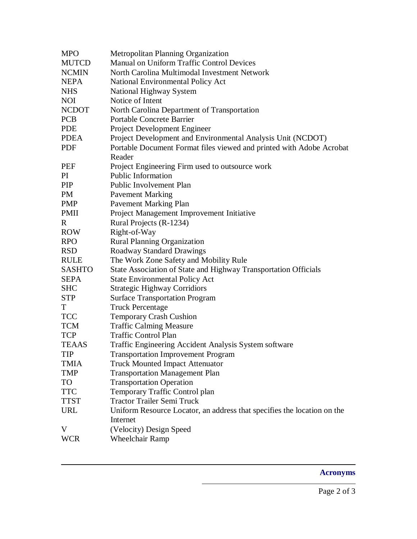| <b>MPO</b>    | <b>Metropolitan Planning Organization</b>                               |
|---------------|-------------------------------------------------------------------------|
| <b>MUTCD</b>  | <b>Manual on Uniform Traffic Control Devices</b>                        |
| <b>NCMIN</b>  | North Carolina Multimodal Investment Network                            |
| <b>NEPA</b>   | National Environmental Policy Act                                       |
| <b>NHS</b>    | National Highway System                                                 |
| <b>NOI</b>    | Notice of Intent                                                        |
| <b>NCDOT</b>  | North Carolina Department of Transportation                             |
| <b>PCB</b>    | <b>Portable Concrete Barrier</b>                                        |
| <b>PDE</b>    | Project Development Engineer                                            |
| <b>PDEA</b>   | Project Development and Environmental Analysis Unit (NCDOT)             |
| <b>PDF</b>    | Portable Document Format files viewed and printed with Adobe Acrobat    |
|               | Reader                                                                  |
| PEF           | Project Engineering Firm used to outsource work                         |
| PI            | <b>Public Information</b>                                               |
| <b>PIP</b>    | <b>Public Involvement Plan</b>                                          |
| <b>PM</b>     | <b>Pavement Marking</b>                                                 |
| <b>PMP</b>    | <b>Pavement Marking Plan</b>                                            |
| <b>PMII</b>   | Project Management Improvement Initiative                               |
| R             | Rural Projects (R-1234)                                                 |
| <b>ROW</b>    | Right-of-Way                                                            |
| <b>RPO</b>    | <b>Rural Planning Organization</b>                                      |
| <b>RSD</b>    | <b>Roadway Standard Drawings</b>                                        |
| <b>RULE</b>   | The Work Zone Safety and Mobility Rule                                  |
| <b>SASHTO</b> | State Association of State and Highway Transportation Officials         |
| <b>SEPA</b>   | <b>State Environmental Policy Act</b>                                   |
| <b>SHC</b>    | <b>Strategic Highway Corridiors</b>                                     |
| <b>STP</b>    | <b>Surface Transportation Program</b>                                   |
| T             | <b>Truck Percentage</b>                                                 |
| <b>TCC</b>    | <b>Temporary Crash Cushion</b>                                          |
| <b>TCM</b>    | <b>Traffic Calming Measure</b>                                          |
| <b>TCP</b>    | <b>Traffic Control Plan</b>                                             |
| <b>TEAAS</b>  | Traffic Engineering Accident Analysis System software                   |
| <b>TIP</b>    | <b>Transportation Improvement Program</b>                               |
| TMIA          | <b>Truck Mounted Impact Attenuator</b>                                  |
| <b>TMP</b>    | <b>Transportation Management Plan</b>                                   |
| <b>TO</b>     | <b>Transportation Operation</b>                                         |
| <b>TTC</b>    | Temporary Traffic Control plan                                          |
| <b>TTST</b>   | <b>Tractor Trailer Semi Truck</b>                                       |
| <b>URL</b>    | Uniform Resource Locator, an address that specifies the location on the |
|               | Internet                                                                |
| V             | (Velocity) Design Speed                                                 |
| <b>WCR</b>    | <b>Wheelchair Ramp</b>                                                  |

## **Acronyms**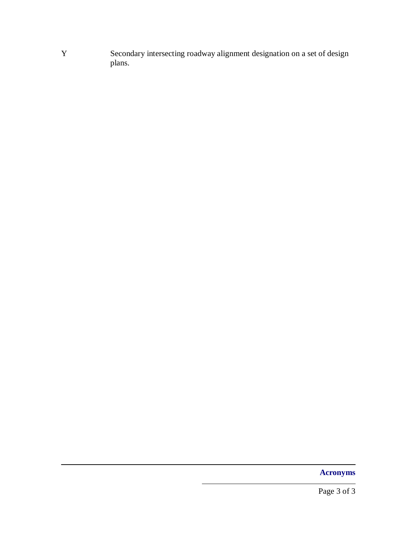Y Secondary intersecting roadway alignment designation on a set of design plans.

**Acronyms**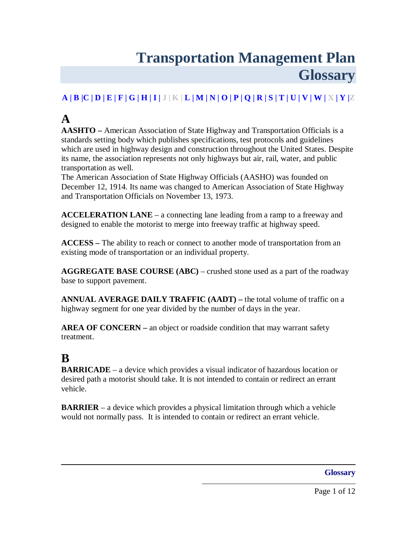# **Transportation Management Plan Glossary**

## <span id="page-36-0"></span>**A | B [|C | D](#page-37-0) | [E | F |](#page-38-0) [G | H | I](#page-39-0) | J | K [| L](#page-40-0) [| M | N |](#page-41-0) [O](#page-43-0) [| P](#page-42-0) [| Q | R | S |](#page-44-0) [T](#page-46-0) [| U | V | W |](#page-47-0) X [| Y |](#page-47-0)Z**

## **A**

**AASHTO –** American Association of State Highway and Transportation Officials is a standards setting body which publishes specifications, test protocols and guidelines which are used in highway design and construction throughout the United States. Despite its name, the association represents not only highways but air, rail, water, and public transportation as well.

The American Association of State Highway Officials (AASHO) was founded on December 12, 1914. Its name was changed to American Association of State Highway and Transportation Officials on November 13, 1973.

**ACCELERATION LANE** – a connecting lane leading from a ramp to a freeway and designed to enable the motorist to merge into freeway traffic at highway speed.

**ACCESS –** The ability to reach or connect to another mode of transportation from an existing mode of transportation or an individual property.

**AGGREGATE BASE COURSE (ABC)** – crushed stone used as a part of the roadway base to support pavement.

**ANNUAL AVERAGE DAILY TRAFFIC (AADT) –** the total volume of traffic on a highway segment for one year divided by the number of days in the year.

**AREA OF CONCERN** – an object or roadside condition that may warrant safety treatment.

## **B**

**BARRICADE** – a device which provides a visual indicator of hazardous location or desired path a motorist should take. It is not intended to contain or redirect an errant vehicle.

**BARRIER** – a device which provides a physical limitation through which a vehicle would not normally pass. It is intended to contain or redirect an errant vehicle.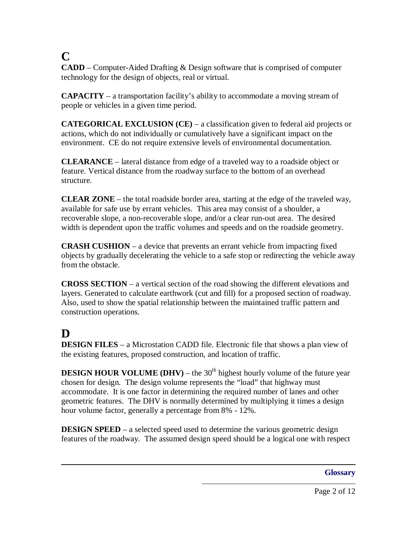## <span id="page-37-0"></span>**C**

**CADD** – Computer-Aided Drafting & Design software that is comprised of computer technology for the design of objects, real or virtual.

**CAPACITY** – a transportation facility's ability to accommodate a moving stream of people or vehicles in a given time period.

**CATEGORICAL EXCLUSION (CE)** – a classification given to federal aid projects or actions, which do not individually or cumulatively have a significant impact on the environment. CE do not require extensive levels of environmental documentation.

**CLEARANCE** – lateral distance from edge of a traveled way to a roadside object or feature. Vertical distance from the roadway surface to the bottom of an overhead structure.

**CLEAR ZONE** – the total roadside border area, starting at the edge of the traveled way, available for safe use by errant vehicles. This area may consist of a shoulder, a recoverable slope, a non-recoverable slope, and/or a clear run-out area. The desired width is dependent upon the traffic volumes and speeds and on the roadside geometry.

**CRASH CUSHION** – a device that prevents an errant vehicle from impacting fixed objects by gradually decelerating the vehicle to a safe stop or redirecting the vehicle away from the obstacle.

**CROSS SECTION** – a vertical section of the road showing the different elevations and layers. Generated to calculate earthwork (cut and fill) for a proposed section of roadway. Also, used to show the spatial relationship between the maintained traffic pattern and construction operations.

# **D**

**DESIGN FILES** – a Microstation CADD file. Electronic file that shows a plan view of the existing features, proposed construction, and location of traffic.

**DESIGN HOUR VOLUME (DHV)** – the  $30<sup>th</sup>$  highest hourly volume of the future year chosen for design. The design volume represents the "load" that highway must accommodate. It is one factor in determining the required number of lanes and other geometric features. The DHV is normally determined by multiplying it times a design hour volume factor, generally a percentage from 8% - 12%.

**DESIGN SPEED** – a selected speed used to determine the various geometric design features of the roadway. The assumed design speed should be a logical one with respect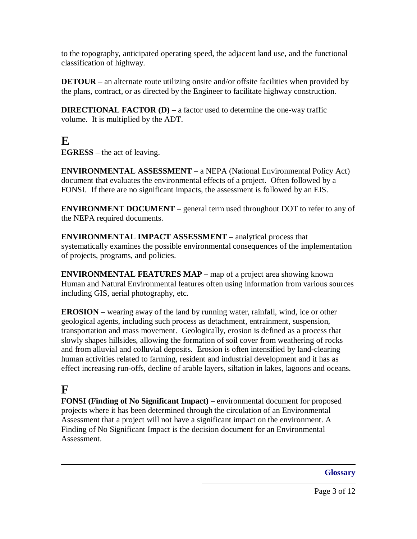<span id="page-38-0"></span>to the topography, anticipated operating speed, the adjacent land use, and the functional classification of highway.

**DETOUR** – an alternate route utilizing onsite and/or offsite facilities when provided by the plans, contract, or as directed by the Engineer to facilitate highway construction.

**DIRECTIONAL FACTOR (D)** – a factor used to determine the one-way traffic volume. It is multiplied by the ADT.

## **E**

**EGRESS** – the act of leaving.

**ENVIRONMENTAL ASSESSMENT** – a NEPA (National Environmental Policy Act) document that evaluates the environmental effects of a project. Often followed by a FONSI. If there are no significant impacts, the assessment is followed by an EIS.

**ENVIRONMENT DOCUMENT** – general term used throughout DOT to refer to any of the NEPA required documents.

**ENVIRONMENTAL IMPACT ASSESSMENT –** analytical process that systematically examines the possible environmental consequences of the implementation of projects, programs, and policies.

**ENVIRONMENTAL FEATURES MAP –** map of a project area showing known Human and Natural Environmental features often using information from various sources including GIS, aerial photography, etc.

**EROSION** – wearing away of the land by running water, rainfall, wind, ice or other geological agents, including such process as detachment, entrainment, suspension, transportation and mass movement. Geologically, erosion is defined as a process that slowly shapes hillsides, allowing the formation of soil cover from weathering of rocks and from alluvial and colluvial deposits. Erosion is often intensified by land-clearing human activities related to farming, resident and industrial development and it has as effect increasing run-offs, decline of arable layers, siltation in lakes, lagoons and oceans.

## **F**

**FONSI (Finding of No Significant Impact)** – environmental document for proposed projects where it has been determined through the circulation of an Environmental Assessment that a project will not have a significant impact on the environment. A Finding of No Significant Impact is the decision document for an Environmental Assessment.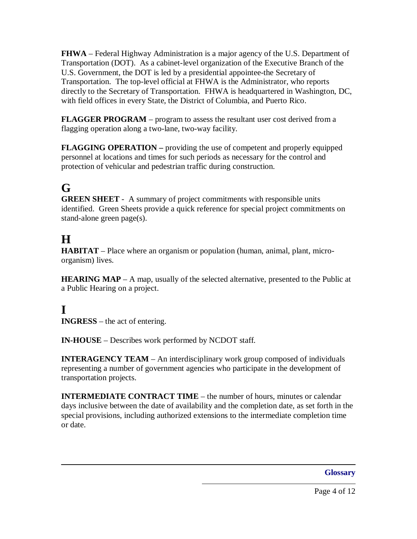<span id="page-39-0"></span>**FHWA** – Federal Highway Administration is a major agency of the U.S. Department of Transportation (DOT). As a cabinet-level organization of the Executive Branch of the U.S. Government, the DOT is led by a presidential appointee-the Secretary of Transportation. The top-level official at FHWA is the Administrator, who reports directly to the Secretary of Transportation. FHWA is headquartered in Washington, DC, with field offices in every State, the District of Columbia, and Puerto Rico.

**FLAGGER PROGRAM** – program to assess the resultant user cost derived from a flagging operation along a two-lane, two-way facility.

**FLAGGING OPERATION** – providing the use of competent and properly equipped personnel at locations and times for such periods as necessary for the control and protection of vehicular and pedestrian traffic during construction.

# **G**

**GREEN SHEET** - A summary of project commitments with responsible units identified. Green Sheets provide a quick reference for special project commitments on stand-alone green page(s).

## **H**

**HABITAT** – Place where an organism or population (human, animal, plant, microorganism) lives.

**HEARING MAP** – A map, usually of the selected alternative, presented to the Public at a Public Hearing on a project.

## **I**

**INGRESS** – the act of entering.

**IN-HOUSE** – Describes work performed by NCDOT staff.

**INTERAGENCY TEAM** – An interdisciplinary work group composed of individuals representing a number of government agencies who participate in the development of transportation projects.

**INTERMEDIATE CONTRACT TIME** – the number of hours, minutes or calendar days inclusive between the date of availability and the completion date, as set forth in the special provisions, including authorized extensions to the intermediate completion time or date.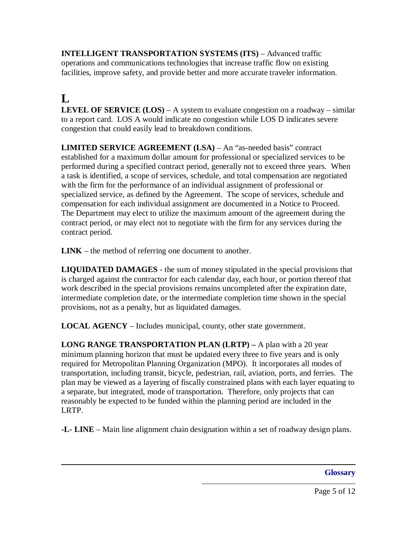<span id="page-40-0"></span>**INTELLIGENT TRANSPORTATION SYSTEMS (ITS)** – Advanced traffic operations and communications technologies that increase traffic flow on existing facilities, improve safety, and provide better and more accurate traveler information.

# $\mathbf{L}$

**LEVEL OF SERVICE (LOS)** – A system to evaluate congestion on a roadway – similar to a report card. LOS A would indicate no congestion while LOS D indicates severe congestion that could easily lead to breakdown conditions.

**LIMITED SERVICE AGREEMENT (LSA)** – An "as-needed basis" contract established for a maximum dollar amount for professional or specialized services to be performed during a specified contract period, generally not to exceed three years. When a task is identified, a scope of services, schedule, and total compensation are negotiated with the firm for the performance of an individual assignment of professional or specialized service, as defined by the Agreement. The scope of services, schedule and compensation for each individual assignment are documented in a Notice to Proceed. The Department may elect to utilize the maximum amount of the agreement during the contract period, or may elect not to negotiate with the firm for any services during the contract period.

**LINK** – the method of referring one document to another.

**LIQUIDATED DAMAGES** - the sum of money stipulated in the special provisions that is charged against the contractor for each calendar day, each hour, or portion thereof that work described in the special provisions remains uncompleted after the expiration date, intermediate completion date, or the intermediate completion time shown in the special provisions, not as a penalty, but as liquidated damages.

**LOCAL AGENCY** – Includes municipal, county, other state government.

**LONG RANGE TRANSPORTATION PLAN (LRTP) –** A plan with a 20 year minimum planning horizon that must be updated every three to five years and is only required for Metropolitan Planning Organization (MPO). It incorporates all modes of transportation, including transit, bicycle, pedestrian, rail, aviation, ports, and ferries. The plan may be viewed as a layering of fiscally constrained plans with each layer equating to a separate, but integrated, mode of transportation. Therefore, only projects that can reasonably be expected to be funded within the planning period are included in the LRTP.

**-L- LINE** – Main line alignment chain designation within a set of roadway design plans.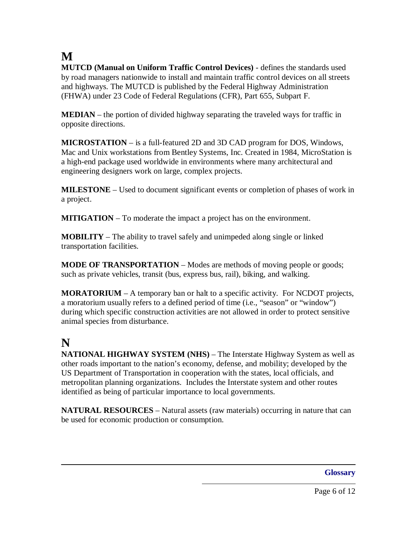## <span id="page-41-0"></span>**M**

**MUTCD (Manual on Uniform Traffic Control Devices)** - defines the standards used by road managers nationwide to install and maintain traffic control devices on all streets and highways. The MUTCD is published by the Federal Highway Administration (FHWA) under 23 Code of Federal Regulations (CFR), Part 655, Subpart F.

**MEDIAN** – the portion of divided highway separating the traveled ways for traffic in opposite directions.

**MICROSTATION** – is a full-featured 2D and 3D CAD program for DOS, Windows, Mac and Unix workstations from Bentley Systems, Inc. Created in 1984, MicroStation is a high-end package used worldwide in environments where many architectural and engineering designers work on large, complex projects.

**MILESTONE** – Used to document significant events or completion of phases of work in a project.

**MITIGATION** – To moderate the impact a project has on the environment.

**MOBILITY** – The ability to travel safely and unimpeded along single or linked transportation facilities.

**MODE OF TRANSPORTATION** – Modes are methods of moving people or goods; such as private vehicles, transit (bus, express bus, rail), biking, and walking.

**MORATORIUM** – A temporary ban or halt to a specific activity. For NCDOT projects, a moratorium usually refers to a defined period of time (i.e., "season" or "window") during which specific construction activities are not allowed in order to protect sensitive animal species from disturbance.

## **N**

**NATIONAL HIGHWAY SYSTEM (NHS)** – The Interstate Highway System as well as other roads important to the nation's economy, defense, and mobility; developed by the US Department of Transportation in cooperation with the states, local officials, and metropolitan planning organizations. Includes the Interstate system and other routes identified as being of particular importance to local governments.

**NATURAL RESOURCES** – Natural assets (raw materials) occurring in nature that can be used for economic production or consumption.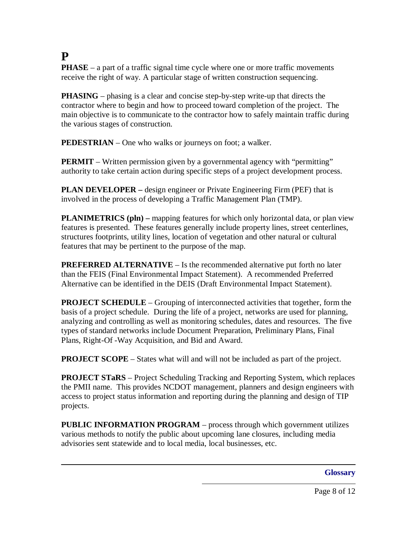## <span id="page-42-0"></span>**P**

**PHASE** – a part of a traffic signal time cycle where one or more traffic movements receive the right of way. A particular stage of written construction sequencing.

**PHASING** – phasing is a clear and concise step-by-step write-up that directs the contractor where to begin and how to proceed toward completion of the project. The main objective is to communicate to the contractor how to safely maintain traffic during the various stages of construction.

**PEDESTRIAN** – One who walks or journeys on foot; a walker.

**PERMIT** – Written permission given by a governmental agency with "permitting" authority to take certain action during specific steps of a project development process.

**PLAN DEVELOPER –** design engineer or Private Engineering Firm (PEF) that is involved in the process of developing a Traffic Management Plan (TMP).

**PLANIMETRICS (pln)** – mapping features for which only horizontal data, or plan view features is presented. These features generally include property lines, street centerlines, structures footprints, utility lines, location of vegetation and other natural or cultural features that may be pertinent to the purpose of the map.

**PREFERRED ALTERNATIVE** – Is the recommended alternative put forth no later than the FEIS (Final Environmental Impact Statement). A recommended Preferred Alternative can be identified in the DEIS (Draft Environmental Impact Statement).

**PROJECT SCHEDULE** – Grouping of interconnected activities that together, form the basis of a project schedule. During the life of a project, networks are used for planning, analyzing and controlling as well as monitoring schedules, dates and resources. The five types of standard networks include Document Preparation, Preliminary Plans, Final Plans, Right-Of -Way Acquisition, and Bid and Award.

**PROJECT SCOPE** – States what will and will not be included as part of the project.

**PROJECT STaRS** – Project Scheduling Tracking and Reporting System, which replaces the PMII name. This provides NCDOT management, planners and design engineers with access to project status information and reporting during the planning and design of TIP projects.

**PUBLIC INFORMATION PROGRAM** – process through which government utilizes various methods to notify the public about upcoming lane closures, including media advisories sent statewide and to local media, local businesses, etc.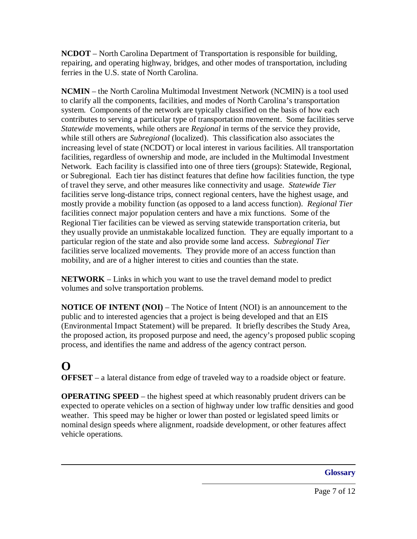<span id="page-43-0"></span>**NCDOT** – North Carolina Department of Transportation is responsible for building, repairing, and operating highway, bridges, and other modes of transportation, including ferries in the U.S. state of North Carolina.

**NCMIN** – the North Carolina Multimodal Investment Network (NCMIN) is a tool used to clarify all the components, facilities, and modes of North Carolina's transportation system. Components of the network are typically classified on the basis of how each contributes to serving a particular type of transportation movement. Some facilities serve *Statewide* movements, while others are *Regional* in terms of the service they provide, while still others are *Subregional* (localized). This classification also associates the increasing level of state (NCDOT) or local interest in various facilities. All transportation facilities, regardless of ownership and mode, are included in the Multimodal Investment Network. Each facility is classified into one of three tiers (groups): Statewide, Regional, or Subregional. Each tier has distinct features that define how facilities function, the type of travel they serve, and other measures like connectivity and usage. *Statewide Tier* facilities serve long-distance trips, connect regional centers, have the highest usage, and mostly provide a mobility function (as opposed to a land access function). *Regional Tier* facilities connect major population centers and have a mix functions. Some of the Regional Tier facilities can be viewed as serving statewide transportation criteria, but they usually provide an unmistakable localized function. They are equally important to a particular region of the state and also provide some land access. *Subregional Tier* facilities serve localized movements. They provide more of an access function than mobility, and are of a higher interest to cities and counties than the state.

**NETWORK** – Links in which you want to use the travel demand model to predict volumes and solve transportation problems.

**NOTICE OF INTENT (NOI)** – The Notice of Intent (NOI) is an announcement to the public and to interested agencies that a project is being developed and that an EIS (Environmental Impact Statement) will be prepared. It briefly describes the Study Area, the proposed action, its proposed purpose and need, the agency's proposed public scoping process, and identifies the name and address of the agency contract person.

## **O**

**OFFSET** – a lateral distance from edge of traveled way to a roadside object or feature.

**OPERATING SPEED** – the highest speed at which reasonably prudent drivers can be expected to operate vehicles on a section of highway under low traffic densities and good weather. This speed may be higher or lower than posted or legislated speed limits or nominal design speeds where alignment, roadside development, or other features affect vehicle operations.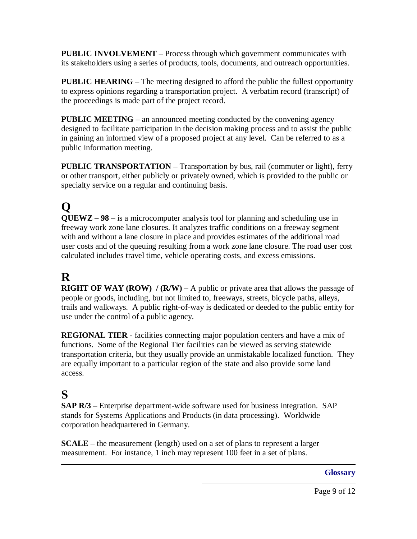<span id="page-44-0"></span>**PUBLIC INVOLVEMENT** – Process through which government communicates with its stakeholders using a series of products, tools, documents, and outreach opportunities.

**PUBLIC HEARING** – The meeting designed to afford the public the fullest opportunity to express opinions regarding a transportation project. A verbatim record (transcript) of the proceedings is made part of the project record.

**PUBLIC MEETING** – an announced meeting conducted by the convening agency designed to facilitate participation in the decision making process and to assist the public in gaining an informed view of a proposed project at any level. Can be referred to as a public information meeting.

**PUBLIC TRANSPORTATION** – Transportation by bus, rail (commuter or light), ferry or other transport, either publicly or privately owned, which is provided to the public or specialty service on a regular and continuing basis.

# **Q**

**QUEWZ – 98** – is a microcomputer analysis tool for planning and scheduling use in freeway work zone lane closures. It analyzes traffic conditions on a freeway segment with and without a lane closure in place and provides estimates of the additional road user costs and of the queuing resulting from a work zone lane closure. The road user cost calculated includes travel time, vehicle operating costs, and excess emissions.

## **R**

**RIGHT OF WAY (ROW) / (R/W)** – A public or private area that allows the passage of people or goods, including, but not limited to, freeways, streets, bicycle paths, alleys, trails and walkways. A public right-of-way is dedicated or deeded to the public entity for use under the control of a public agency.

**REGIONAL TIER** - facilities connecting major population centers and have a mix of functions. Some of the Regional Tier facilities can be viewed as serving statewide transportation criteria, but they usually provide an unmistakable localized function. They are equally important to a particular region of the state and also provide some land access.

## **S**

**SAP R/3** – Enterprise department-wide software used for business integration. SAP stands for Systems Applications and Products (in data processing). Worldwide corporation headquartered in Germany.

**SCALE** – the measurement (length) used on a set of plans to represent a larger measurement. For instance, 1 inch may represent 100 feet in a set of plans.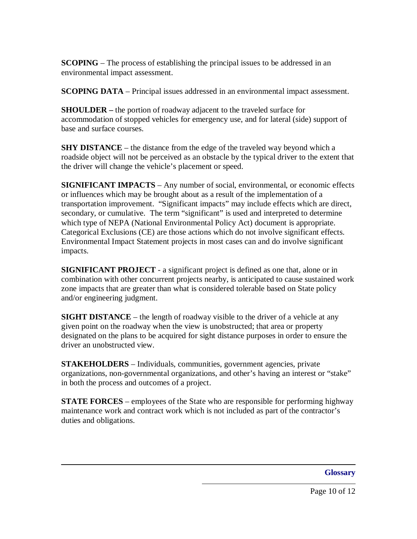**SCOPING** – The process of establishing the principal issues to be addressed in an environmental impact assessment.

**SCOPING DATA** – Principal issues addressed in an environmental impact assessment.

**SHOULDER –** the portion of roadway adjacent to the traveled surface for accommodation of stopped vehicles for emergency use, and for lateral (side) support of base and surface courses.

**SHY DISTANCE** – the distance from the edge of the traveled way beyond which a roadside object will not be perceived as an obstacle by the typical driver to the extent that the driver will change the vehicle's placement or speed.

**SIGNIFICANT IMPACTS** – Any number of social, environmental, or economic effects or influences which may be brought about as a result of the implementation of a transportation improvement. "Significant impacts" may include effects which are direct, secondary, or cumulative. The term "significant" is used and interpreted to determine which type of NEPA (National Environmental Policy Act) document is appropriate. Categorical Exclusions (CE) are those actions which do not involve significant effects. Environmental Impact Statement projects in most cases can and do involve significant impacts.

**SIGNIFICANT PROJECT** - a significant project is defined as one that, alone or in combination with other concurrent projects nearby, is anticipated to cause sustained work zone impacts that are greater than what is considered tolerable based on State policy and/or engineering judgment.

**SIGHT DISTANCE** – the length of roadway visible to the driver of a vehicle at any given point on the roadway when the view is unobstructed; that area or property designated on the plans to be acquired for sight distance purposes in order to ensure the driver an unobstructed view.

**STAKEHOLDERS** – Individuals, communities, government agencies, private organizations, non-governmental organizations, and other's having an interest or "stake" in both the process and outcomes of a project.

**STATE FORCES** – employees of the State who are responsible for performing highway maintenance work and contract work which is not included as part of the contractor's duties and obligations.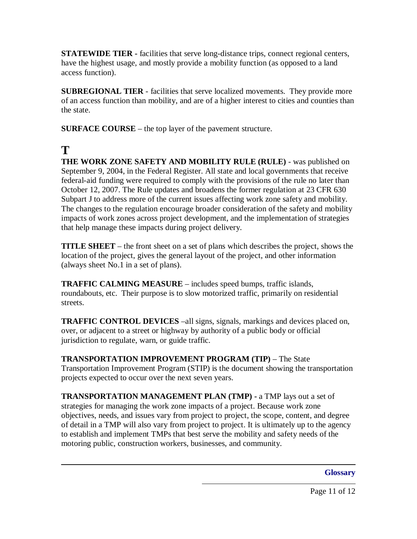<span id="page-46-0"></span>**STATEWIDE TIER** - facilities that serve long-distance trips, connect regional centers, have the highest usage, and mostly provide a mobility function (as opposed to a land access function).

**SUBREGIONAL TIER** - facilities that serve localized movements. They provide more of an access function than mobility, and are of a higher interest to cities and counties than the state.

**SURFACE COURSE** – the top layer of the pavement structure.

## **T**

**THE WORK ZONE SAFETY AND MOBILITY RULE (RULE)** - was published on September 9, 2004, in the Federal Register. All state and local governments that receive federal-aid funding were required to comply with the provisions of the rule no later than October 12, 2007. The Rule updates and broadens the former regulation at 23 CFR 630 Subpart J to address more of the current issues affecting work zone safety and mobility. The changes to the regulation encourage broader consideration of the safety and mobility impacts of work zones across project development, and the implementation of strategies that help manage these impacts during project delivery.

**TITLE SHEET** – the front sheet on a set of plans which describes the project, shows the location of the project, gives the general layout of the project, and other information (always sheet No.1 in a set of plans).

**TRAFFIC CALMING MEASURE** – includes speed bumps, traffic islands, roundabouts, etc. Their purpose is to slow motorized traffic, primarily on residential streets.

**TRAFFIC CONTROL DEVICES** –all signs, signals, markings and devices placed on, over, or adjacent to a street or highway by authority of a public body or official jurisdiction to regulate, warn, or guide traffic.

**TRANSPORTATION IMPROVEMENT PROGRAM (TIP)** – The State Transportation Improvement Program (STIP) is the document showing the transportation projects expected to occur over the next seven years.

**TRANSPORTATION MANAGEMENT PLAN (TMP) -** a TMP lays out a set of strategies for managing the work zone impacts of a project. Because work zone objectives, needs, and issues vary from project to project, the scope, content, and degree of detail in a TMP will also vary from project to project. It is ultimately up to the agency to establish and implement TMPs that best serve the mobility and safety needs of the motoring public, construction workers, businesses, and community.